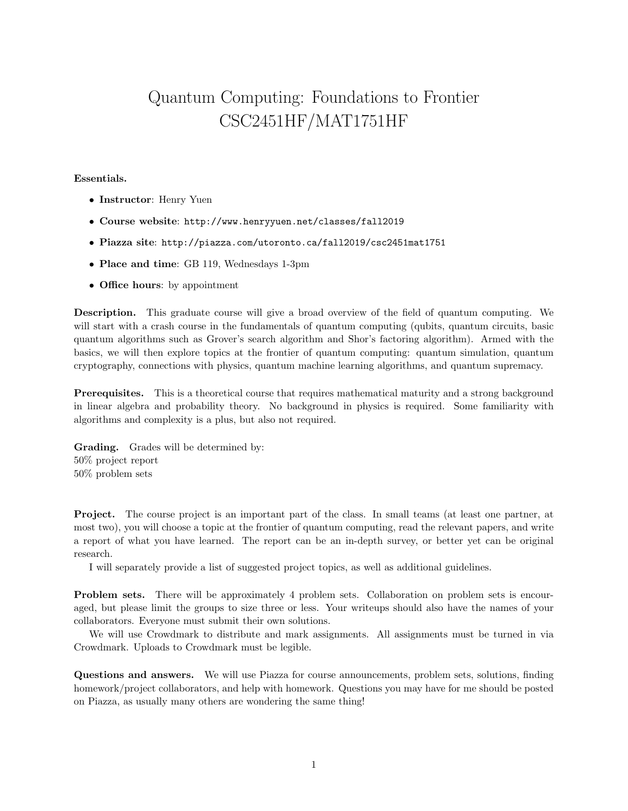## Quantum Computing: Foundations to Frontier CSC2451HF/MAT1751HF

## Essentials.

- Instructor: Henry Yuen
- Course website: http://www.henryyuen.net/classes/fall2019
- Piazza site: http://piazza.com/utoronto.ca/fall2019/csc2451mat1751
- Place and time: GB 119, Wednesdays 1-3pm
- Office hours: by appointment

Description. This graduate course will give a broad overview of the field of quantum computing. We will start with a crash course in the fundamentals of quantum computing (qubits, quantum circuits, basic quantum algorithms such as Grover's search algorithm and Shor's factoring algorithm). Armed with the basics, we will then explore topics at the frontier of quantum computing: quantum simulation, quantum cryptography, connections with physics, quantum machine learning algorithms, and quantum supremacy.

Prerequisites. This is a theoretical course that requires mathematical maturity and a strong background in linear algebra and probability theory. No background in physics is required. Some familiarity with algorithms and complexity is a plus, but also not required.

Grading. Grades will be determined by: 50% project report 50% problem sets

Project. The course project is an important part of the class. In small teams (at least one partner, at most two), you will choose a topic at the frontier of quantum computing, read the relevant papers, and write a report of what you have learned. The report can be an in-depth survey, or better yet can be original research.

I will separately provide a list of suggested project topics, as well as additional guidelines.

Problem sets. There will be approximately 4 problem sets. Collaboration on problem sets is encouraged, but please limit the groups to size three or less. Your writeups should also have the names of your collaborators. Everyone must submit their own solutions.

We will use Crowdmark to distribute and mark assignments. All assignments must be turned in via Crowdmark. Uploads to Crowdmark must be legible.

Questions and answers. We will use Piazza for course announcements, problem sets, solutions, finding homework/project collaborators, and help with homework. Questions you may have for me should be posted on Piazza, as usually many others are wondering the same thing!